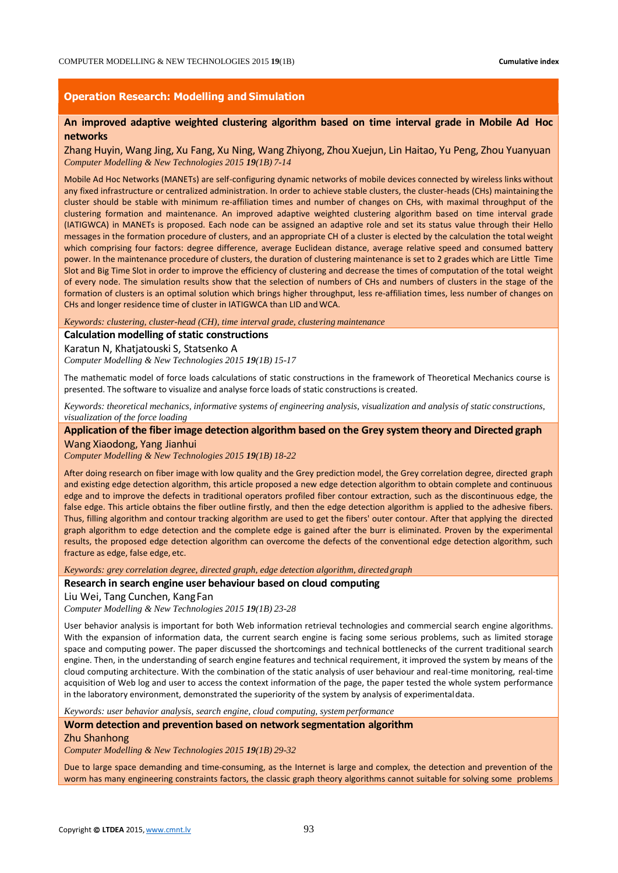### **Operation Research: Modelling and Simulation**

# **An improved adaptive weighted clustering algorithm based on time interval grade in Mobile Ad Hoc networks**

Zhang Huyin, Wang Jing, Xu Fang, Xu Ning, Wang Zhiyong, Zhou Xuejun, Lin Haitao, Yu Peng, Zhou Yuanyuan *Computer Modelling & New Technologies 2015 19(1B) 7-14*

Mobile Ad Hoc Networks (MANETs) are self-configuring dynamic networks of mobile devices connected by wireless links without any fixed infrastructure or centralized administration. In order to achieve stable clusters, the cluster-heads (CHs) maintaining the cluster should be stable with minimum re-affiliation times and number of changes on CHs, with maximal throughput of the clustering formation and maintenance. An improved adaptive weighted clustering algorithm based on time interval grade (IATIGWCA) in MANETs is proposed. Each node can be assigned an adaptive role and set its status value through their Hello messages in the formation procedure of clusters, and an appropriate CH of a cluster is elected by the calculation the total weight which comprising four factors: degree difference, average Euclidean distance, average relative speed and consumed battery power. In the maintenance procedure of clusters, the duration of clustering maintenance is set to 2 grades which are Little Time Slot and Big Time Slot in order to improve the efficiency of clustering and decrease the times of computation of the total weight of every node. The simulation results show that the selection of numbers of CHs and numbers of clusters in the stage of the formation of clusters is an optimal solution which brings higher throughput, less re-affiliation times, less number of changes on CHs and longer residence time of cluster in IATIGWCA than LID andWCA.

*Keywords: clustering, cluster-head (CH), time interval grade, clustering maintenance*

# **Calculation modelling of static constructions**

Karatun N, Khatjatouski S, Statsenko A

*Computer Modelling & New Technologies 2015 19(1B) 15-17*

The mathematic model of force loads calculations of static constructions in the framework of Theoretical Mechanics course is presented. The software to visualize and analyse force loads of static constructions is created.

*Keywords: theoretical mechanics, informative systems of engineering analysis, visualization and analysis of static constructions, visualization of the force loading*

**Application of the fiber image detection algorithm based on the Grey system theory and Directed graph** Wang Xiaodong, Yang Jianhui

*Computer Modelling & New Technologies 2015 19(1B) 18-22*

After doing research on fiber image with low quality and the Grey prediction model, the Grey correlation degree, directed graph and existing edge detection algorithm, this article proposed a new edge detection algorithm to obtain complete and continuous edge and to improve the defects in traditional operators profiled fiber contour extraction, such as the discontinuous edge, the false edge. This article obtains the fiber outline firstly, and then the edge detection algorithm is applied to the adhesive fibers. Thus, filling algorithm and contour tracking algorithm are used to get the fibers' outer contour. After that applying the directed graph algorithm to edge detection and the complete edge is gained after the burr is eliminated. Proven by the experimental results, the proposed edge detection algorithm can overcome the defects of the conventional edge detection algorithm, such fracture as edge, false edge, etc.

*Keywords: grey correlation degree, directed graph, edge detection algorithm, directed graph*

### **Research in search engine user behaviour based on cloud computing**

Liu Wei, Tang Cunchen, KangFan

*Computer Modelling & New Technologies 2015 19(1B) 23-28*

User behavior analysis is important for both Web information retrieval technologies and commercial search engine algorithms. With the expansion of information data, the current search engine is facing some serious problems, such as limited storage space and computing power. The paper discussed the shortcomings and technical bottlenecks of the current traditional search engine. Then, in the understanding of search engine features and technical requirement, it improved the system by means of the cloud computing architecture. With the combination of the static analysis of user behaviour and real-time monitoring, real-time acquisition of Web log and user to access the context information of the page, the paper tested the whole system performance in the laboratory environment, demonstrated the superiority of the system by analysis of experimentaldata.

*Keywords: user behavior analysis, search engine, cloud computing, system performance*

**Worm detection and prevention based on network segmentation algorithm**

#### Zhu Shanhong

*Computer Modelling & New Technologies 2015 19(1B) 29-32*

Due to large space demanding and time-consuming, as the Internet is large and complex, the detection and prevention of the worm has many engineering constraints factors, the classic graph theory algorithms cannot suitable for solving some problems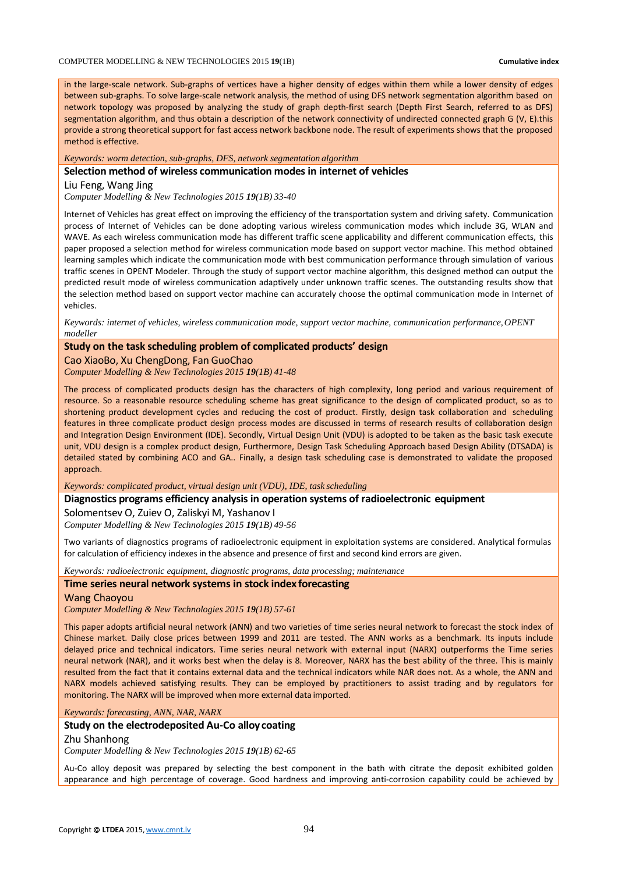in the large-scale network. Sub-graphs of vertices have a higher density of edges within them while a lower density of edges between sub-graphs. To solve large-scale network analysis, the method of using DFS network segmentation algorithm based on network topology was proposed by analyzing the study of graph depth-first search (Depth First Search, referred to as DFS) segmentation algorithm, and thus obtain a description of the network connectivity of undirected connected graph G (V, E).this provide a strong theoretical support for fast access network backbone node. The result of experiments shows that the proposed method is effective.

*Keywords: worm detection, sub-graphs, DFS, network segmentation algorithm*

#### **Selection method of wireless communication modes in internet of vehicles**

### Liu Feng, Wang Jing

*Computer Modelling & New Technologies 2015 19(1B) 33-40*

Internet of Vehicles has great effect on improving the efficiency of the transportation system and driving safety. Communication process of Internet of Vehicles can be done adopting various wireless communication modes which include 3G, WLAN and WAVE. As each wireless communication mode has different traffic scene applicability and different communication effects, this paper proposed a selection method for wireless communication mode based on support vector machine. This method obtained learning samples which indicate the communication mode with best communication performance through simulation of various traffic scenes in OPENT Modeler. Through the study of support vector machine algorithm, this designed method can output the predicted result mode of wireless communication adaptively under unknown traffic scenes. The outstanding results show that the selection method based on support vector machine can accurately choose the optimal communication mode in Internet of vehicles.

*Keywords: internet of vehicles, wireless communication mode, support vector machine, communication performance,OPENT modeller*

# **Study on the task scheduling problem of complicated products' design**

Cao XiaoBo, Xu ChengDong, Fan GuoChao

*Computer Modelling & New Technologies 2015 19(1B) 41-48*

The process of complicated products design has the characters of high complexity, long period and various requirement of resource. So a reasonable resource scheduling scheme has great significance to the design of complicated product, so as to shortening product development cycles and reducing the cost of product. Firstly, design task collaboration and scheduling features in three complicate product design process modes are discussed in terms of research results of collaboration design and Integration Design Environment (IDE). Secondly, Virtual Design Unit (VDU) is adopted to be taken as the basic task execute unit, VDU design is a complex product design, Furthermore, Design Task Scheduling Approach based Design Ability (DTSADA) is detailed stated by combining ACO and GA.. Finally, a design task scheduling case is demonstrated to validate the proposed approach.

*Keywords: complicated product, virtual design unit (VDU), IDE, task scheduling*

#### **Diagnostics programs efficiency analysis in operation systems of radioelectronic equipment**

Solomentsev O, Zuiev O, Zaliskyi M, Yashanov I *Computer Modelling & New Technologies 2015 19(1B) 49-56*

Two variants of diagnostics programs of radioelectronic equipment in exploitation systems are considered. Analytical formulas for calculation of efficiency indexes in the absence and presence of first and second kind errors are given.

*Keywords: radioelectronic equipment, diagnostic programs, data processing; maintenance*

#### **Time series neural network systems in stock index forecasting**

Wang Chaoyou

*Computer Modelling & New Technologies 2015 19(1B) 57-61*

This paper adopts artificial neural network (ANN) and two varieties of time series neural network to forecast the stock index of Chinese market. Daily close prices between 1999 and 2011 are tested. The ANN works as a benchmark. Its inputs include delayed price and technical indicators. Time series neural network with external input (NARX) outperforms the Time series neural network (NAR), and it works best when the delay is 8. Moreover, NARX has the best ability of the three. This is mainly resulted from the fact that it contains external data and the technical indicators while NAR does not. As a whole, the ANN and NARX models achieved satisfying results. They can be employed by practitioners to assist trading and by regulators for monitoring. The NARX will be improved when more external data imported.

*Keywords: forecasting, ANN, NAR, NARX*

# **Study on the electrodeposited Au-Co alloy coating**

Zhu Shanhong

*Computer Modelling & New Technologies 2015 19(1B) 62-65*

Au-Co alloy deposit was prepared by selecting the best component in the bath with citrate the deposit exhibited golden appearance and high percentage of coverage. Good hardness and improving anti-corrosion capability could be achieved by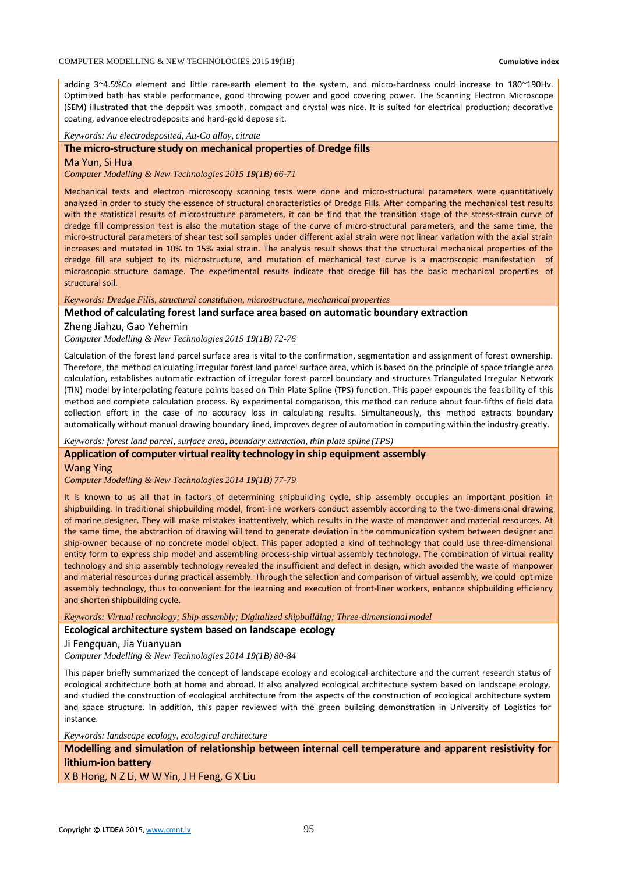adding 3~4.5%Co element and little rare-earth element to the system, and micro-hardness could increase to 180~190Hv. Optimized bath has stable performance, good throwing power and good covering power. The Scanning Electron Microscope (SEM) illustrated that the deposit was smooth, compact and crystal was nice. It is suited for electrical production; decorative coating, advance electrodeposits and hard-gold depose sit.

*Keywords: Au electrodeposited, Au-Co alloy, citrate*

### **The micro-structure study on mechanical properties of Dredge fills**

Ma Yun, Si Hua

*Computer Modelling & New Technologies 2015 19(1B) 66-71*

Mechanical tests and electron microscopy scanning tests were done and micro-structural parameters were quantitatively analyzed in order to study the essence of structural characteristics of Dredge Fills. After comparing the mechanical test results with the statistical results of microstructure parameters, it can be find that the transition stage of the stress-strain curve of dredge fill compression test is also the mutation stage of the curve of micro-structural parameters, and the same time, the micro-structural parameters of shear test soil samples under different axial strain were not linear variation with the axial strain increases and mutated in 10% to 15% axial strain. The analysis result shows that the structural mechanical properties of the dredge fill are subject to its microstructure, and mutation of mechanical test curve is a macroscopic manifestation of microscopic structure damage. The experimental results indicate that dredge fill has the basic mechanical properties of structural soil.

*Keywords: Dredge Fills, structural constitution, microstructure, mechanical properties*

### **Method of calculating forest land surface area based on automatic boundary extraction**

Zheng Jiahzu, Gao Yehemin

*Computer Modelling & New Technologies 2015 19(1B) 72-76*

Calculation of the forest land parcel surface area is vital to the confirmation, segmentation and assignment of forest ownership. Therefore, the method calculating irregular forest land parcel surface area, which is based on the principle of space triangle area calculation, establishes automatic extraction of irregular forest parcel boundary and structures Triangulated Irregular Network (TIN) model by interpolating feature points based on Thin Plate Spline (TPS) function. This paper expounds the feasibility of this method and complete calculation process. By experimental comparison, this method can reduce about four-fifths of field data collection effort in the case of no accuracy loss in calculating results. Simultaneously, this method extracts boundary automatically without manual drawing boundary lined, improves degree of automation in computing within the industry greatly.

*Keywords: forest land parcel, surface area, boundary extraction, thin plate spline (TPS)*

#### **Application of computer virtual reality technology in ship equipment assembly**

Wang Ying

*Computer Modelling & New Technologies 2014 19(1B) 77-79*

It is known to us all that in factors of determining shipbuilding cycle, ship assembly occupies an important position in shipbuilding. In traditional shipbuilding model, front-line workers conduct assembly according to the two-dimensional drawing of marine designer. They will make mistakes inattentively, which results in the waste of manpower and material resources. At the same time, the abstraction of drawing will tend to generate deviation in the communication system between designer and ship-owner because of no concrete model object. This paper adopted a kind of technology that could use three-dimensional entity form to express ship model and assembling process-ship virtual assembly technology. The combination of virtual reality technology and ship assembly technology revealed the insufficient and defect in design, which avoided the waste of manpower and material resources during practical assembly. Through the selection and comparison of virtual assembly, we could optimize assembly technology, thus to convenient for the learning and execution of front-liner workers, enhance shipbuilding efficiency and shorten shipbuilding cycle.

*Keywords: Virtual technology; Ship assembly; Digitalized shipbuilding; Three-dimensional model*

**Ecological architecture system based on landscape ecology**

Ji Fengquan, Jia Yuanyuan

*Computer Modelling & New Technologies 2014 19(1B) 80-84*

This paper briefly summarized the concept of landscape ecology and ecological architecture and the current research status of ecological architecture both at home and abroad. It also analyzed ecological architecture system based on landscape ecology, and studied the construction of ecological architecture from the aspects of the construction of ecological architecture system and space structure. In addition, this paper reviewed with the green building demonstration in University of Logistics for instance.

*Keywords: landscape ecology, ecological architecture*

**Modelling and simulation of relationship between internal cell temperature and apparent resistivity for lithium-ion battery**

X B Hong, N Z Li, W W Yin, J H Feng, G X Liu